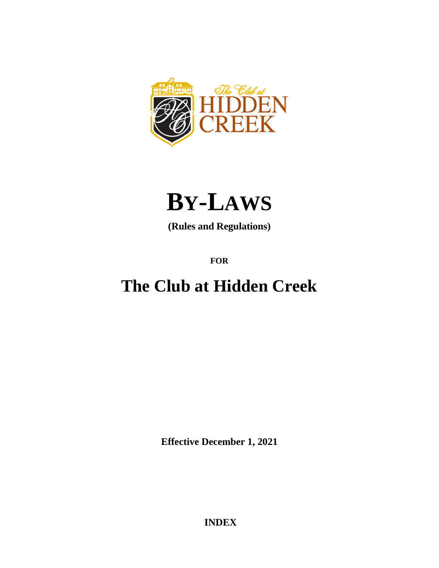



**(Rules and Regulations)**

**FOR**

# **The Club at Hidden Creek**

**Effective December 1, 2021**

**INDEX**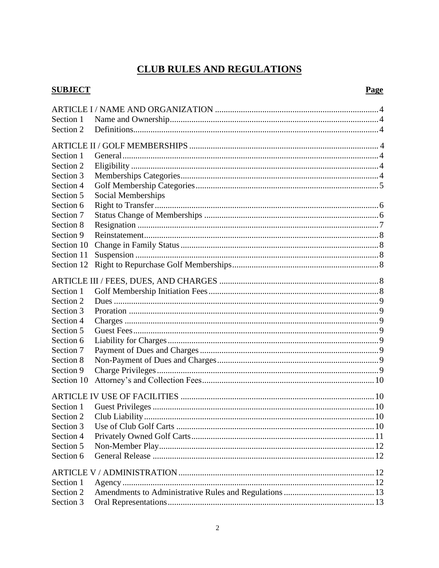# **CLUB RULES AND REGULATIONS**

# **SUBJECT**

### Page

| Section 1  |                    |  |  |
|------------|--------------------|--|--|
| Section 2  |                    |  |  |
|            |                    |  |  |
|            |                    |  |  |
| Section 1  |                    |  |  |
| Section 2  |                    |  |  |
| Section 3  |                    |  |  |
| Section 4  |                    |  |  |
| Section 5  | Social Memberships |  |  |
| Section 6  |                    |  |  |
| Section 7  |                    |  |  |
| Section 8  |                    |  |  |
| Section 9  |                    |  |  |
| Section 10 |                    |  |  |
| Section 11 |                    |  |  |
| Section 12 |                    |  |  |
|            |                    |  |  |
|            |                    |  |  |
| Section 1  |                    |  |  |
| Section 2  |                    |  |  |
| Section 3  |                    |  |  |
| Section 4  |                    |  |  |
| Section 5  |                    |  |  |
| Section 6  |                    |  |  |
| Section 7  |                    |  |  |
| Section 8  |                    |  |  |
| Section 9  |                    |  |  |
| Section 10 |                    |  |  |
|            |                    |  |  |
|            |                    |  |  |
| Section 1  |                    |  |  |
| Section 2  |                    |  |  |
| Section 3  |                    |  |  |
| Section 4  |                    |  |  |
| Section 5  |                    |  |  |
| Section 6  |                    |  |  |
|            |                    |  |  |
| Section 1  |                    |  |  |
| Section 2  |                    |  |  |
| Section 3  |                    |  |  |
|            |                    |  |  |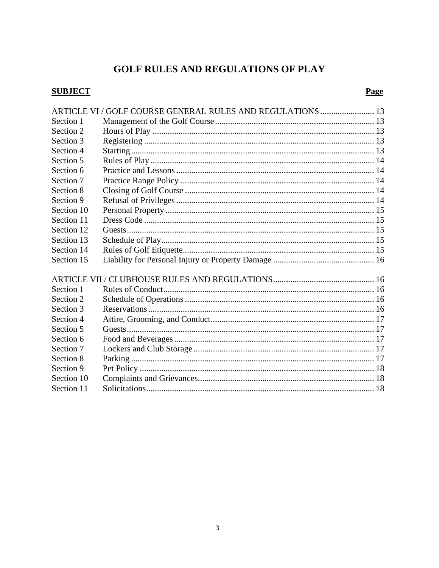# **GOLF RULES AND REGULATIONS OF PLAY**

# **SUBJECT**

# Page

|            | ARTICLE VI / GOLF COURSE GENERAL RULES AND REGULATIONS  13 |  |
|------------|------------------------------------------------------------|--|
| Section 1  |                                                            |  |
| Section 2  |                                                            |  |
| Section 3  |                                                            |  |
| Section 4  |                                                            |  |
| Section 5  |                                                            |  |
| Section 6  |                                                            |  |
| Section 7  |                                                            |  |
| Section 8  |                                                            |  |
| Section 9  |                                                            |  |
| Section 10 |                                                            |  |
| Section 11 |                                                            |  |
| Section 12 |                                                            |  |
| Section 13 |                                                            |  |
| Section 14 |                                                            |  |
| Section 15 |                                                            |  |
|            |                                                            |  |
|            |                                                            |  |
| Section 1  |                                                            |  |
| Section 2  |                                                            |  |
| Section 3  |                                                            |  |
| Section 4  |                                                            |  |
| Section 5  |                                                            |  |
| Section 6  |                                                            |  |
| Section 7  |                                                            |  |
| Section 8  |                                                            |  |
| Section 9  |                                                            |  |
| Section 10 |                                                            |  |
| Section 11 |                                                            |  |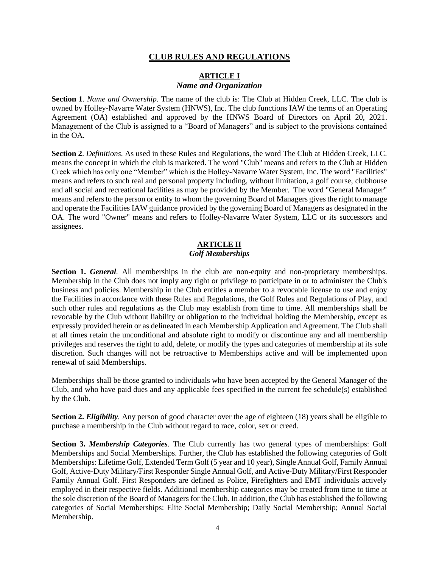#### **CLUB RULES AND REGULATIONS**

#### **ARTICLE I** *Name and Organization*

**Section 1**. *Name and Ownership.* The name of the club is: The Club at Hidden Creek, LLC. The club is owned by Holley-Navarre Water System (HNWS), Inc. The club functions IAW the terms of an Operating Agreement (OA) established and approved by the HNWS Board of Directors on April 20, 2021. Management of the Club is assigned to a "Board of Managers" and is subject to the provisions contained in the OA.

**Section 2**. *Definitions.* As used in these Rules and Regulations, the word The Club at Hidden Creek, LLC. means the concept in which the club is marketed. The word "Club" means and refers to the Club at Hidden Creek which has only one "Member" which is the Holley-Navarre Water System, Inc. The word "Facilities" means and refers to such real and personal property including, without limitation, a golf course, clubhouse and all social and recreational facilities as may be provided by the Member. The word "General Manager" means and refers to the person or entity to whom the governing Board of Managers gives the right to manage and operate the Facilities IAW guidance provided by the governing Board of Managers as designated in the OA. The word "Owner" means and refers to Holley-Navarre Water System, LLC or its successors and assignees.

#### **ARTICLE II** *Golf Memberships*

**Section 1.** *General.* All memberships in the club are non-equity and non-proprietary memberships. Membership in the Club does not imply any right or privilege to participate in or to administer the Club's business and policies. Membership in the Club entitles a member to a revocable license to use and enjoy the Facilities in accordance with these Rules and Regulations, the Golf Rules and Regulations of Play, and such other rules and regulations as the Club may establish from time to time. All memberships shall be revocable by the Club without liability or obligation to the individual holding the Membership, except as expressly provided herein or as delineated in each Membership Application and Agreement. The Club shall at all times retain the unconditional and absolute right to modify or discontinue any and all membership privileges and reserves the right to add, delete, or modify the types and categories of membership at its sole discretion. Such changes will not be retroactive to Memberships active and will be implemented upon renewal of said Memberships.

Memberships shall be those granted to individuals who have been accepted by the General Manager of the Club, and who have paid dues and any applicable fees specified in the current fee schedule(s) established by the Club.

**Section 2.** *Eligibility.* Any person of good character over the age of eighteen (18) years shall be eligible to purchase a membership in the Club without regard to race, color, sex or creed.

**Section 3.** *Membership Categories.* The Club currently has two general types of memberships: Golf Memberships and Social Memberships. Further, the Club has established the following categories of Golf Memberships: Lifetime Golf, Extended Term Golf (5 year and 10 year), Single Annual Golf, Family Annual Golf, Active-Duty Military/First Responder Single Annual Golf, and Active-Duty Military/First Responder Family Annual Golf. First Responders are defined as Police, Firefighters and EMT individuals actively employed in their respective fields. Additional membership categories may be created from time to time at the sole discretion of the Board of Managers for the Club. In addition, the Club has established the following categories of Social Memberships: Elite Social Membership; Daily Social Membership; Annual Social Membership.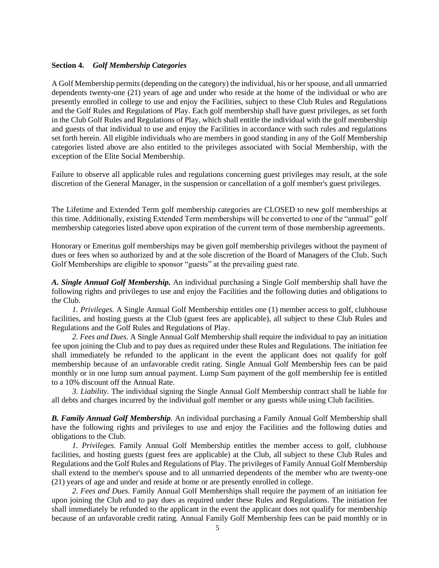#### **Section 4.** *Golf Membership Categories*

A Golf Membership permits (depending on the category) the individual, his or her spouse, and all unmarried dependents twenty-one (21) years of age and under who reside at the home of the individual or who are presently enrolled in college to use and enjoy the Facilities, subject to these Club Rules and Regulations and the Golf Rules and Regulations of Play. Each golf membership shall have guest privileges, as set forth in the Club Golf Rules and Regulations of Play, which shall entitle the individual with the golf membership and guests of that individual to use and enjoy the Facilities in accordance with such rules and regulations set forth herein. All eligible individuals who are members in good standing in any of the Golf Membership categories listed above are also entitled to the privileges associated with Social Membership, with the exception of the Elite Social Membership.

Failure to observe all applicable rules and regulations concerning guest privileges may result, at the sole discretion of the General Manager, in the suspension or cancellation of a golf member's guest privileges.

The Lifetime and Extended Term golf membership categories are CLOSED to new golf memberships at this time. Additionally, existing Extended Term memberships will be converted to one of the "annual" golf membership categories listed above upon expiration of the current term of those membership agreements.

Honorary or Emeritus golf memberships may be given golf membership privileges without the payment of dues or fees when so authorized by and at the sole discretion of the Board of Managers of the Club. Such Golf Memberships are eligible to sponsor "guests" at the prevailing guest rate.

*A. Single Annual Golf Membership.* An individual purchasing a Single Golf membership shall have the following rights and privileges to use and enjoy the Facilities and the following duties and obligations to the Club.

*1. Privileges.* A Single Annual Golf Membership entitles one (1) member access to golf, clubhouse facilities, and hosting guests at the Club (guest fees are applicable), all subject to these Club Rules and Regulations and the Golf Rules and Regulations of Play.

*2. Fees and Dues.* A Single Annual Golf Membership shall require the individual to pay an initiation fee upon joining the Club and to pay dues as required under these Rules and Regulations. The initiation fee shall immediately be refunded to the applicant in the event the applicant does not qualify for golf membership because of an unfavorable credit rating. Single Annual Golf Membership fees can be paid monthly or in one lump sum annual payment. Lump Sum payment of the golf membership fee is entitled to a 10% discount off the Annual Rate.

*3. Liability.* The individual signing the Single Annual Golf Membership contract shall be liable for all debts and charges incurred by the individual golf member or any guests while using Club facilities.

*B. Family Annual Golf Membership.* An individual purchasing a Family Annual Golf Membership shall have the following rights and privileges to use and enjoy the Facilities and the following duties and obligations to the Club.

*1. Privileges.* Family Annual Golf Membership entitles the member access to golf, clubhouse facilities, and hosting guests (guest fees are applicable) at the Club, all subject to these Club Rules and Regulations and the Golf Rules and Regulations of Play. The privileges of Family Annual Golf Membership shall extend to the member's spouse and to all unmarried dependents of the member who are twenty-one (21) years of age and under and reside at home or are presently enrolled in college.

*2. Fees and Dues.* Family Annual Golf Memberships shall require the payment of an initiation fee upon joining the Club and to pay dues as required under these Rules and Regulations. The initiation fee shall immediately be refunded to the applicant in the event the applicant does not qualify for membership because of an unfavorable credit rating. Annual Family Golf Membership fees can be paid monthly or in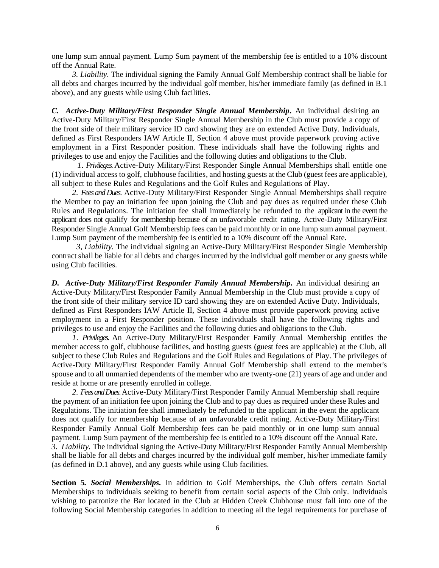one lump sum annual payment. Lump Sum payment of the membership fee is entitled to a 10% discount off the Annual Rate.

*3. Liability.* The individual signing the Family Annual Golf Membership contract shall be liable for all debts and charges incurred by the individual golf member, his/her immediate family (as defined in B.1 above), and any guests while using Club facilities.

*C. Active-Duty Military/First Responder Single Annual Membership.* An individual desiring an Active-Duty Military/First Responder Single Annual Membership in the Club must provide a copy of the front side of their military service ID card showing they are on extended Active Duty. Individuals, defined as First Responders IAW Article II, Section 4 above must provide paperwork proving active employment in a First Responder position. These individuals shall have the following rights and privileges to use and enjoy the Facilities and the following duties and obligations to the Club.

*1*. *Privileges.* Active-Duty Military/First Responder Single Annual Memberships shall entitle one (1) individual access to golf, clubhouse facilities, and hosting guests at the Club (guest fees are applicable), all subject to these Rules and Regulations and the Golf Rules and Regulations of Play.

*2. Fees and Dues.* Active-Duty Military/First Responder Single Annual Memberships shall require the Member to pay an initiation fee upon joining the Club and pay dues as required under these Club Rules and Regulations. The initiation fee shall immediately be refunded to the applicant in the event the applicant does not qualify for membership because of an unfavorable credit rating. Active-Duty Military/First Responder Single Annual Golf Membership fees can be paid monthly or in one lump sum annual payment. Lump Sum payment of the membership fee is entitled to a 10% discount off the Annual Rate.

 *3, Liability.* The individual signing an Active-Duty Military/First Responder Single Membership contract shall be liable for all debts and charges incurred by the individual golf member or any guests while using Club facilities.

*D. Active-Duty Military/First Responder Family Annual Membership.* An individual desiring an Active-Duty Military/First Responder Family Annual Membership in the Club must provide a copy of the front side of their military service ID card showing they are on extended Active Duty. Individuals, defined as First Responders IAW Article II, Section 4 above must provide paperwork proving active employment in a First Responder position. These individuals shall have the following rights and privileges to use and enjoy the Facilities and the following duties and obligations to the Club.

*1*. *Privileges.* An Active-Duty Military/First Responder Family Annual Membership entitles the member access to golf, clubhouse facilities, and hosting guests (guest fees are applicable) at the Club, all subject to these Club Rules and Regulations and the Golf Rules and Regulations of Play. The privileges of Active-Duty Military/First Responder Family Annual Golf Membership shall extend to the member's spouse and to all unmarried dependents of the member who are twenty-one (21) years of age and under and reside at home or are presently enrolled in college.

*2. Fees and Dues.* Active-Duty Military/First Responder Family Annual Membership shall require the payment of an initiation fee upon joining the Club and to pay dues as required under these Rules and Regulations. The initiation fee shall immediately be refunded to the applicant in the event the applicant does not qualify for membership because of an unfavorable credit rating. Active-Duty Military/First Responder Family Annual Golf Membership fees can be paid monthly or in one lump sum annual payment. Lump Sum payment of the membership fee is entitled to a 10% discount off the Annual Rate. *3. Liability.* The individual signing the Active-Duty Military/First Responder Family Annual Membership shall be liable for all debts and charges incurred by the individual golf member, his/her immediate family (as defined in D.1 above), and any guests while using Club facilities.

**Section 5***. Social Memberships.* In addition to Golf Memberships, the Club offers certain Social Memberships to individuals seeking to benefit from certain social aspects of the Club only. Individuals wishing to patronize the Bar located in the Club at Hidden Creek Clubhouse must fall into one of the following Social Membership categories in addition to meeting all the legal requirements for purchase of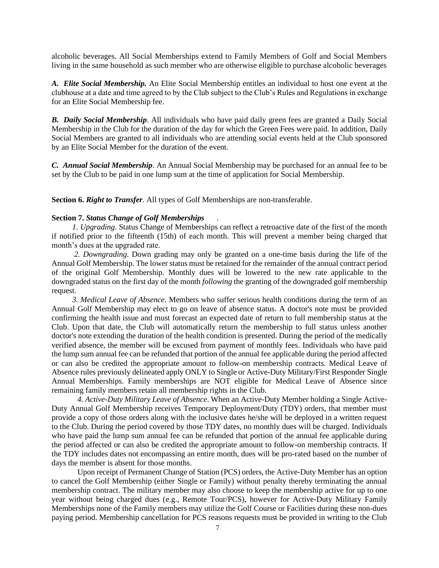alcoholic beverages. All Social Memberships extend to Family Members of Golf and Social Members living in the same household as such member who are otherwise eligible to purchase alcoholic beverages

*A. Elite Social Membership.* An Elite Social Membership entitles an individual to host one event at the clubhouse at a date and time agreed to by the Club subject to the Club's Rules and Regulations in exchange for an Elite Social Membership fee.

*B. Daily Social Membership*. All individuals who have paid daily green fees are granted a Daily Social Membership in the Club for the duration of the day for which the Green Fees were paid. In addition, Daily Social Members are granted to all individuals who are attending social events held at the Club sponsored by an Elite Social Member for the duration of the event.

*C. Annual Social Membership*. An Annual Social Membership may be purchased for an annual fee to be set by the Club to be paid in one lump sum at the time of application for Social Membership.

**Section 6.** *Right to Transfer.* All types of Golf Memberships are non-transferable.

#### **Section 7.** *Status Change of Golf Memberships .*

*1*. *Upgrading*. Status Change of Memberships can reflect a retroactive date of the first of the month if notified prior to the fifteenth (15th) of each month. This will prevent a member being charged that month's dues at the upgraded rate.

*2. Downgrading*. Down grading may only be granted on a one-time basis during the life of the Annual Golf Membership. The lower status must be retained for the remainder of the annual contract period of the original Golf Membership. Monthly dues will be lowered to the new rate applicable to the downgraded status on the first day of the month *following* the granting of the downgraded golf membership request.

*3. Medical Leave of Absence*. Members who suffer serious health conditions during the term of an Annual Golf Membership may elect to go on leave of absence status. A doctor's note must be provided confirming the health issue and must forecast an expected date of return to full membership status at the Club. Upon that date, the Club will automatically return the membership to full status unless another doctor's note extending the duration of the health condition is presented. During the period of the medically verified absence, the member will be excused from payment of monthly fees. Individuals who have paid the lump sum annual fee can be refunded that portion of the annual fee applicable during the period affected or can also be credited the appropriate amount to follow-on membership contracts. Medical Leave of Absence rules previously delineated apply ONLY to Single or Active-Duty Military/First Responder Single Annual Memberships. Family memberships are NOT eligible for Medical Leave of Absence since remaining family members retain all membership rights in the Club.

*4. Active-Duty Military Leave of Absence*. When an Active-Duty Member holding a Single Active-Duty Annual Golf Membership receives Temporary Deployment/Duty (TDY) orders, that member must provide a copy of those orders along with the inclusive dates he/she will be deployed in a written request to the Club. During the period covered by those TDY dates, no monthly dues will be charged. Individuals who have paid the lump sum annual fee can be refunded that portion of the annual fee applicable during the period affected or can also be credited the appropriate amount to follow-on membership contracts. If the TDY includes dates not encompassing an entire month, dues will be pro-rated based on the number of days the member is absent for those months.

Upon receipt of Permanent Change of Station (PCS) orders, the Active-Duty Member has an option to cancel the Golf Membership (either Single or Family) without penalty thereby terminating the annual membership contract. The military member may also choose to keep the membership active for up to one year without being charged dues (e.g., Remote Tour/PCS), however for Active-Duty Military Family Memberships none of the Family members may utilize the Golf Course or Facilities during these non-dues paying period. Membership cancellation for PCS reasons requests must be provided in writing to the Club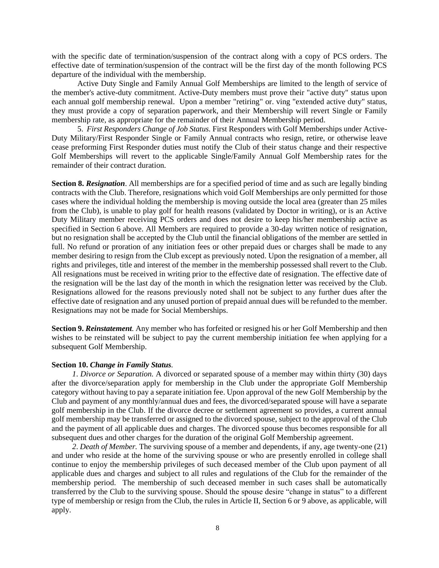with the specific date of termination/suspension of the contract along with a copy of PCS orders. The effective date of termination/suspension of the contract will be the first day of the month following PCS departure of the individual with the membership.

Active Duty Single and Family Annual Golf Memberships are limited to the length of service of the member's active-duty commitment. Active-Duty members must prove their "active duty" status upon each annual golf membership renewal. Upon a member "retiring" or. ving "extended active duty" status, they must provide a copy of separation paperwork, and their Membership will revert Single or Family membership rate, as appropriate for the remainder of their Annual Membership period.

5. *First Responders Change of Job Status.* First Responders with Golf Memberships under Active-Duty Military/First Responder Single or Family Annual contracts who resign, retire, or otherwise leave cease preforming First Responder duties must notify the Club of their status change and their respective Golf Memberships will revert to the applicable Single/Family Annual Golf Membership rates for the remainder of their contract duration.

**Section 8.** *Resignation*. All memberships are for a specified period of time and as such are legally binding contracts with the Club. Therefore, resignations which void Golf Memberships are only permitted for those cases where the individual holding the membership is moving outside the local area (greater than 25 miles from the Club), is unable to play golf for health reasons (validated by Doctor in writing), or is an Active Duty Military member receiving PCS orders and does not desire to keep his/her membership active as specified in Section 6 above. All Members are required to provide a 30-day written notice of resignation, but no resignation shall be accepted by the Club until the financial obligations of the member are settled in full. No refund or proration of any initiation fees or other prepaid dues or charges shall be made to any member desiring to resign from the Club except as previously noted. Upon the resignation of a member, all rights and privileges, title and interest of the member in the membership possessed shall revert to the Club. All resignations must be received in writing prior to the effective date of resignation. The effective date of the resignation will be the last day of the month in which the resignation letter was received by the Club. Resignations allowed for the reasons previously noted shall not be subject to any further dues after the effective date of resignation and any unused portion of prepaid annual dues will be refunded to the member. Resignations may not be made for Social Memberships.

**Section 9.** *Reinstatement.* Any member who has forfeited or resigned his or her Golf Membership and then wishes to be reinstated will be subject to pay the current membership initiation fee when applying for a subsequent Golf Membership.

#### **Section 10.** *Change in Family Status.*

*1*. *Divorce or Separation.* A divorced or separated spouse of a member may within thirty (30) days after the divorce/separation apply for membership in the Club under the appropriate Golf Membership category without having to pay a separate initiation fee. Upon approval of the new Golf Membership by the Club and payment of any monthly/annual dues and fees, the divorced/separated spouse will have a separate golf membership in the Club. If the divorce decree or settlement agreement so provides, a current annual golf membership may be transferred or assigned to the divorced spouse, subject to the approval of the Club and the payment of all applicable dues and charges. The divorced spouse thus becomes responsible for all subsequent dues and other charges for the duration of the original Golf Membership agreement.

*2*. *Death of Member.* The surviving spouse of a member and dependents, if any, age twenty-one (21) and under who reside at the home of the surviving spouse or who are presently enrolled in college shall continue to enjoy the membership privileges of such deceased member of the Club upon payment of all applicable dues and charges and subject to all rules and regulations of the Club for the remainder of the membership period. The membership of such deceased member in such cases shall be automatically transferred by the Club to the surviving spouse. Should the spouse desire "change in status" to a different type of membership or resign from the Club, the rules in Article II, Section 6 or 9 above, as applicable, will apply.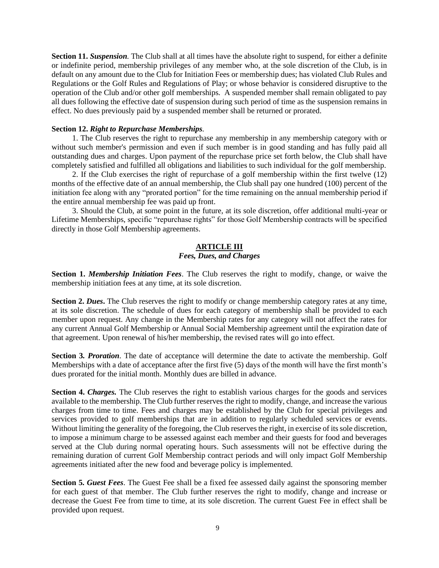**Section 11.** *Suspension.* The Club shall at all times have the absolute right to suspend, for either a definite or indefinite period, membership privileges of any member who, at the sole discretion of the Club, is in default on any amount due to the Club for Initiation Fees or membership dues; has violated Club Rules and Regulations or the Golf Rules and Regulations of Play; or whose behavior is considered disruptive to the operation of the Club and/or other golf memberships. A suspended member shall remain obligated to pay all dues following the effective date of suspension during such period of time as the suspension remains in effect. No dues previously paid by a suspended member shall be returned or prorated.

#### **Section 12.** *Right to Repurchase Memberships.*

1. The Club reserves the right to repurchase any membership in any membership category with or without such member's permission and even if such member is in good standing and has fully paid all outstanding dues and charges. Upon payment of the repurchase price set forth below, the Club shall have completely satisfied and fulfilled all obligations and liabilities to such individual for the golf membership.

2. If the Club exercises the right of repurchase of a golf membership within the first twelve (12) months of the effective date of an annual membership, the Club shall pay one hundred (100) percent of the initiation fee along with any "prorated portion" for the time remaining on the annual membership period if the entire annual membership fee was paid up front.

3. Should the Club, at some point in the future, at its sole discretion, offer additional multi-year or Lifetime Memberships, specific "repurchase rights" for those Golf Membership contracts will be specified directly in those Golf Membership agreements.

#### **ARTICLE III** *Fees, Dues, and Charges*

**Section 1.** *Membership Initiation Fees*. The Club reserves the right to modify, change, or waive the membership initiation fees at any time, at its sole discretion.

**Section 2.** *Dues***.** The Club reserves the right to modify or change membership category rates at any time, at its sole discretion. The schedule of dues for each category of membership shall be provided to each member upon request. Any change in the Membership rates for any category will not affect the rates for any current Annual Golf Membership or Annual Social Membership agreement until the expiration date of that agreement. Upon renewal of his/her membership, the revised rates will go into effect.

**Section 3***. Proration*. The date of acceptance will determine the date to activate the membership. Golf Memberships with a date of acceptance after the first five (5) days of the month will have the first month's dues prorated for the initial month. Monthly dues are billed in advance.

**Section 4.** *Charges.* The Club reserves the right to establish various charges for the goods and services available to the membership. The Club further reserves the right to modify, change, and increase the various charges from time to time. Fees and charges may be established by the Club for special privileges and services provided to golf memberships that are in addition to regularly scheduled services or events. Without limiting the generality of the foregoing, the Club reserves the right, in exercise of its sole discretion, to impose a minimum charge to be assessed against each member and their guests for food and beverages served at the Club during normal operating hours. Such assessments will not be effective during the remaining duration of current Golf Membership contract periods and will only impact Golf Membership agreements initiated after the new food and beverage policy is implemented.

**Section 5.** *Guest Fees*. The Guest Fee shall be a fixed fee assessed daily against the sponsoring member for each guest of that member. The Club further reserves the right to modify, change and increase or decrease the Guest Fee from time to time, at its sole discretion. The current Guest Fee in effect shall be provided upon request.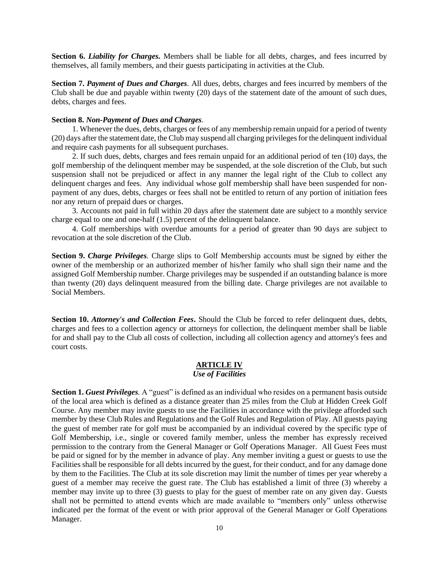**Section 6.** *Liability for Charges.* Members shall be liable for all debts, charges, and fees incurred by themselves, all family members, and their guests participating in activities at the Club.

**Section 7.** *Payment of Dues and Charges.* All dues, debts, charges and fees incurred by members of the Club shall be due and payable within twenty (20) days of the statement date of the amount of such dues, debts, charges and fees.

#### **Section 8.** *Non-Payment of Dues and Charges.*

1. Whenever the dues, debts, charges or fees of any membership remain unpaid for a period of twenty (20) days after the statement date, the Club may suspend all charging privileges for the delinquent individual and require cash payments for all subsequent purchases.

2. If such dues, debts, charges and fees remain unpaid for an additional period of ten (10) days, the golf membership of the delinquent member may be suspended, at the sole discretion of the Club, but such suspension shall not be prejudiced or affect in any manner the legal right of the Club to collect any delinquent charges and fees. Any individual whose golf membership shall have been suspended for nonpayment of any dues, debts, charges or fees shall not be entitled to return of any portion of initiation fees nor any return of prepaid dues or charges.

3. Accounts not paid in full within 20 days after the statement date are subject to a monthly service charge equal to one and one-half (1.5) percent of the delinquent balance.

4. Golf memberships with overdue amounts for a period of greater than 90 days are subject to revocation at the sole discretion of the Club.

**Section 9.** *Charge Privileges.* Charge slips to Golf Membership accounts must be signed by either the owner of the membership or an authorized member of his/her family who shall sign their name and the assigned Golf Membership number. Charge privileges may be suspended if an outstanding balance is more than twenty (20) days delinquent measured from the billing date. Charge privileges are not available to Social Members.

**Section 10.** *Attorney's and Collection Fees***.** Should the Club be forced to refer delinquent dues, debts, charges and fees to a collection agency or attorneys for collection, the delinquent member shall be liable for and shall pay to the Club all costs of collection, including all collection agency and attorney's fees and court costs.

#### **ARTICLE IV** *Use of Facilities*

**Section 1.** *Guest Privileges.* A "guest" is defined as an individual who resides on a permanent basis outside of the local area which is defined as a distance greater than 25 miles from the Club at Hidden Creek Golf Course. Any member may invite guests to use the Facilities in accordance with the privilege afforded such member by these Club Rules and Regulations and the Golf Rules and Regulation of Play. All guests paying the guest of member rate for golf must be accompanied by an individual covered by the specific type of Golf Membership, i.e., single or covered family member, unless the member has expressly received permission to the contrary from the General Manager or Golf Operations Manager. All Guest Fees must be paid or signed for by the member in advance of play. Any member inviting a guest or guests to use the Facilities shall be responsible for all debts incurred by the guest, for their conduct, and for any damage done by them to the Facilities. The Club at its sole discretion may limit the number of times per year whereby a guest of a member may receive the guest rate. The Club has established a limit of three (3) whereby a member may invite up to three (3) guests to play for the guest of member rate on any given day. Guests shall not be permitted to attend events which are made available to "members only" unless otherwise indicated per the format of the event or with prior approval of the General Manager or Golf Operations Manager.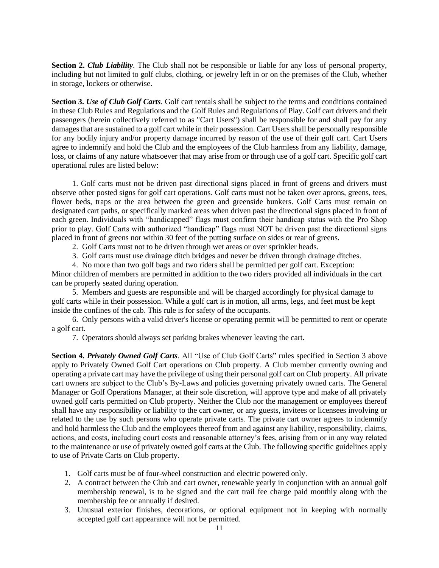**Section 2.** *Club Liability.* The Club shall not be responsible or liable for any loss of personal property, including but not limited to golf clubs, clothing, or jewelry left in or on the premises of the Club, whether in storage, lockers or otherwise.

**Section 3.** *Use of Club Golf Carts.* Golf cart rentals shall be subject to the terms and conditions contained in these Club Rules and Regulations and the Golf Rules and Regulations of Play. Golf cart drivers and their passengers (herein collectively referred to as "Cart Users") shall be responsible for and shall pay for any damages that are sustained to a golf cart while in their possession. Cart Users shall be personally responsible for any bodily injury and/or property damage incurred by reason of the use of their golf cart. Cart Users agree to indemnify and hold the Club and the employees of the Club harmless from any liability, damage, loss, or claims of any nature whatsoever that may arise from or through use of a golf cart. Specific golf cart operational rules are listed below:

1. Golf carts must not be driven past directional signs placed in front of greens and drivers must observe other posted signs for golf cart operations. Golf carts must not be taken over aprons, greens, tees, flower beds, traps or the area between the green and greenside bunkers. Golf Carts must remain on designated cart paths, or specifically marked areas when driven past the directional signs placed in front of each green. Individuals with "handicapped" flags must confirm their handicap status with the Pro Shop prior to play. Golf Carts with authorized "handicap" flags must NOT be driven past the directional signs placed in front of greens nor within 30 feet of the putting surface on sides or rear of greens.

- 2. Golf Carts must not to be driven through wet areas or over sprinkler heads.
- 3. Golf carts must use drainage ditch bridges and never be driven through drainage ditches.
- 4. No more than two golf bags and two riders shall be permitted per golf cart. Exception:

Minor children of members are permitted in addition to the two riders provided all individuals in the cart can be properly seated during operation.

5. Members and guests are responsible and will be charged accordingly for physical damage to golf carts while in their possession. While a golf cart is in motion, all arms, legs, and feet must be kept inside the confines of the cab. This rule is for safety of the occupants.

6. Only persons with a valid driver's license or operating permit will be permitted to rent or operate a golf cart.

7. Operators should always set parking brakes whenever leaving the cart.

**Section 4.** *Privately Owned Golf Carts*. All "Use of Club Golf Carts" rules specified in Section 3 above apply to Privately Owned Golf Cart operations on Club property. A Club member currently owning and operating a private cart may have the privilege of using their personal golf cart on Club property. All private cart owners are subject to the Club's By-Laws and policies governing privately owned carts. The General Manager or Golf Operations Manager, at their sole discretion, will approve type and make of all privately owned golf carts permitted on Club property. Neither the Club nor the management or employees thereof shall have any responsibility or liability to the cart owner, or any guests, invitees or licensees involving or related to the use by such persons who operate private carts. The private cart owner agrees to indemnify and hold harmless the Club and the employees thereof from and against any liability, responsibility, claims, actions, and costs, including court costs and reasonable attorney's fees, arising from or in any way related to the maintenance or use of privately owned golf carts at the Club. The following specific guidelines apply to use of Private Carts on Club property.

- 1. Golf carts must be of four-wheel construction and electric powered only.
- 2. A contract between the Club and cart owner, renewable yearly in conjunction with an annual golf membership renewal, is to be signed and the cart trail fee charge paid monthly along with the membership fee or annually if desired.
- 3. Unusual exterior finishes, decorations, or optional equipment not in keeping with normally accepted golf cart appearance will not be permitted.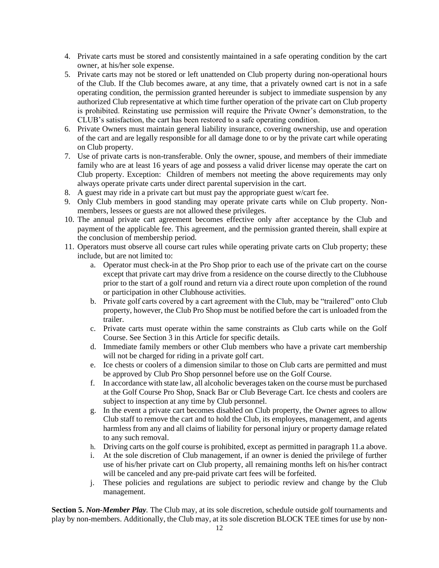- 4. Private carts must be stored and consistently maintained in a safe operating condition by the cart owner, at his/her sole expense.
- 5. Private carts may not be stored or left unattended on Club property during non-operational hours of the Club. If the Club becomes aware, at any time, that a privately owned cart is not in a safe operating condition, the permission granted hereunder is subject to immediate suspension by any authorized Club representative at which time further operation of the private cart on Club property is prohibited. Reinstating use permission will require the Private Owner's demonstration, to the CLUB's satisfaction, the cart has been restored to a safe operating condition.
- 6. Private Owners must maintain general liability insurance, covering ownership, use and operation of the cart and are legally responsible for all damage done to or by the private cart while operating on Club property.
- 7. Use of private carts is non-transferable. Only the owner, spouse, and members of their immediate family who are at least 16 years of age and possess a valid driver license may operate the cart on Club property. Exception: Children of members not meeting the above requirements may only always operate private carts under direct parental supervision in the cart.
- 8. A guest may ride in a private cart but must pay the appropriate guest w/cart fee.
- 9. Only Club members in good standing may operate private carts while on Club property. Nonmembers, lessees or guests are not allowed these privileges.
- 10. The annual private cart agreement becomes effective only after acceptance by the Club and payment of the applicable fee. This agreement, and the permission granted therein, shall expire at the conclusion of membership period.
- 11. Operators must observe all course cart rules while operating private carts on Club property; these include, but are not limited to:
	- a. Operator must check-in at the Pro Shop prior to each use of the private cart on the course except that private cart may drive from a residence on the course directly to the Clubhouse prior to the start of a golf round and return via a direct route upon completion of the round or participation in other Clubhouse activities.
	- b. Private golf carts covered by a cart agreement with the Club, may be "trailered" onto Club property, however, the Club Pro Shop must be notified before the cart is unloaded from the trailer.
	- c. Private carts must operate within the same constraints as Club carts while on the Golf Course. See Section 3 in this Article for specific details.
	- d. Immediate family members or other Club members who have a private cart membership will not be charged for riding in a private golf cart.
	- e. Ice chests or coolers of a dimension similar to those on Club carts are permitted and must be approved by Club Pro Shop personnel before use on the Golf Course.
	- f. In accordance with state law, all alcoholic beverages taken on the course must be purchased at the Golf Course Pro Shop, Snack Bar or Club Beverage Cart. Ice chests and coolers are subject to inspection at any time by Club personnel.
	- g. In the event a private cart becomes disabled on Club property, the Owner agrees to allow Club staff to remove the cart and to hold the Club, its employees, management, and agents harmless from any and all claims of liability for personal injury or property damage related to any such removal.
	- h. Driving carts on the golf course is prohibited, except as permitted in paragraph 11.a above.
	- i. At the sole discretion of Club management, if an owner is denied the privilege of further use of his/her private cart on Club property, all remaining months left on his/her contract will be canceled and any pre-paid private cart fees will be forfeited.
	- j. These policies and regulations are subject to periodic review and change by the Club management.

**Section 5.** *Non-Member Play.* The Club may, at its sole discretion, schedule outside golf tournaments and play by non-members. Additionally, the Club may, at its sole discretion BLOCK TEE times for use by non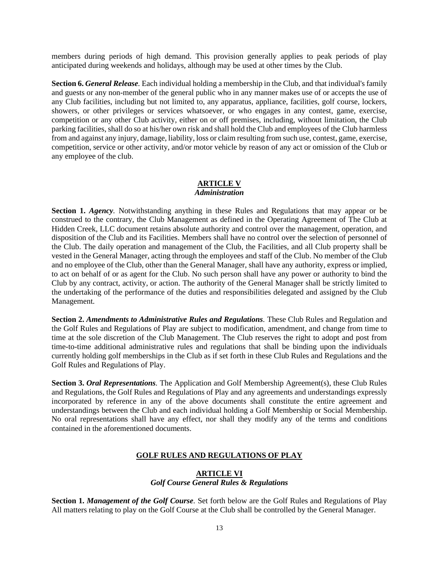members during periods of high demand. This provision generally applies to peak periods of play anticipated during weekends and holidays, although may be used at other times by the Club.

**Section 6.** *General Release.* Each individual holding a membership in the Club, and that individual's family and guests or any non-member of the general public who in any manner makes use of or accepts the use of any Club facilities, including but not limited to, any apparatus, appliance, facilities, golf course, lockers, showers, or other privileges or services whatsoever, or who engages in any contest, game, exercise, competition or any other Club activity, either on or off premises, including, without limitation, the Club parking facilities, shall do so at his/her own risk and shall hold the Club and employees of the Club harmless from and against any injury, damage, liability, loss or claim resulting from such use, contest, game, exercise, competition, service or other activity, and/or motor vehicle by reason of any act or omission of the Club or any employee of the club.

#### **ARTICLE V** *Administration*

**Section 1.** *Agency.* Notwithstanding anything in these Rules and Regulations that may appear or be construed to the contrary, the Club Management as defined in the Operating Agreement of The Club at Hidden Creek, LLC document retains absolute authority and control over the management, operation, and disposition of the Club and its Facilities. Members shall have no control over the selection of personnel of the Club. The daily operation and management of the Club, the Facilities, and all Club property shall be vested in the General Manager, acting through the employees and staff of the Club. No member of the Club and no employee of the Club, other than the General Manager, shall have any authority, express or implied, to act on behalf of or as agent for the Club. No such person shall have any power or authority to bind the Club by any contract, activity, or action. The authority of the General Manager shall be strictly limited to the undertaking of the performance of the duties and responsibilities delegated and assigned by the Club Management.

**Section 2.** *Amendments to Administrative Rules and Regulations.* These Club Rules and Regulation and the Golf Rules and Regulations of Play are subject to modification, amendment, and change from time to time at the sole discretion of the Club Management. The Club reserves the right to adopt and post from time-to-time additional administrative rules and regulations that shall be binding upon the individuals currently holding golf memberships in the Club as if set forth in these Club Rules and Regulations and the Golf Rules and Regulations of Play.

**Section 3.** *Oral Representations.* The Application and Golf Membership Agreement(s), these Club Rules and Regulations, the Golf Rules and Regulations of Play and any agreements and understandings expressly incorporated by reference in any of the above documents shall constitute the entire agreement and understandings between the Club and each individual holding a Golf Membership or Social Membership. No oral representations shall have any effect, nor shall they modify any of the terms and conditions contained in the aforementioned documents.

#### **GOLF RULES AND REGULATIONS OF PLAY**

#### **ARTICLE VI** *Golf Course General Rules & Regulations*

**Section 1.** *Management of the Golf Course.* Set forth below are the Golf Rules and Regulations of Play All matters relating to play on the Golf Course at the Club shall be controlled by the General Manager.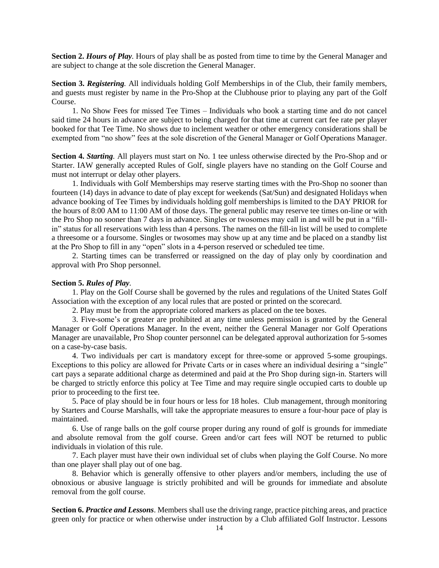**Section 2.** *Hours of Play.* Hours of play shall be as posted from time to time by the General Manager and are subject to change at the sole discretion the General Manager.

**Section 3.** *Registering.* All individuals holding Golf Memberships in of the Club, their family members, and guests must register by name in the Pro-Shop at the Clubhouse prior to playing any part of the Golf Course.

1. No Show Fees for missed Tee Times – Individuals who book a starting time and do not cancel said time 24 hours in advance are subject to being charged for that time at current cart fee rate per player booked for that Tee Time. No shows due to inclement weather or other emergency considerations shall be exempted from "no show" fees at the sole discretion of the General Manager or Golf Operations Manager.

**Section 4.** *Starting.* All players must start on No. 1 tee unless otherwise directed by the Pro-Shop and or Starter. IAW generally accepted Rules of Golf, single players have no standing on the Golf Course and must not interrupt or delay other players.

1. Individuals with Golf Memberships may reserve starting times with the Pro-Shop no sooner than fourteen (14) days in advance to date of play except for weekends (Sat/Sun) and designated Holidays when advance booking of Tee Times by individuals holding golf memberships is limited to the DAY PRIOR for the hours of 8:00 AM to 11:00 AM of those days. The general public may reserve tee times on-line or with the Pro Shop no sooner than 7 days in advance. Singles or twosomes may call in and will be put in a "fillin" status for all reservations with less than 4 persons. The names on the fill-in list will be used to complete a threesome or a foursome. Singles or twosomes may show up at any time and be placed on a standby list at the Pro Shop to fill in any "open" slots in a 4-person reserved or scheduled tee time.

2. Starting times can be transferred or reassigned on the day of play only by coordination and approval with Pro Shop personnel.

#### **Section 5.** *Rules of Play.*

1. Play on the Golf Course shall be governed by the rules and regulations of the United States Golf Association with the exception of any local rules that are posted or printed on the scorecard.

2. Play must be from the appropriate colored markers as placed on the tee boxes.

3. Five-some's or greater are prohibited at any time unless permission is granted by the General Manager or Golf Operations Manager. In the event, neither the General Manager nor Golf Operations Manager are unavailable, Pro Shop counter personnel can be delegated approval authorization for 5-somes on a case-by-case basis.

4. Two individuals per cart is mandatory except for three-some or approved 5-some groupings. Exceptions to this policy are allowed for Private Carts or in cases where an individual desiring a "single" cart pays a separate additional charge as determined and paid at the Pro Shop during sign-in. Starters will be charged to strictly enforce this policy at Tee Time and may require single occupied carts to double up prior to proceeding to the first tee.

5. Pace of play should be in four hours or less for 18 holes. Club management, through monitoring by Starters and Course Marshalls, will take the appropriate measures to ensure a four-hour pace of play is maintained.

6. Use of range balls on the golf course proper during any round of golf is grounds for immediate and absolute removal from the golf course. Green and/or cart fees will NOT be returned to public individuals in violation of this rule.

7. Each player must have their own individual set of clubs when playing the Golf Course. No more than one player shall play out of one bag.

8. Behavior which is generally offensive to other players and/or members, including the use of obnoxious or abusive language is strictly prohibited and will be grounds for immediate and absolute removal from the golf course.

**Section 6.** *Practice and Lessons*. Members shall use the driving range, practice pitching areas, and practice green only for practice or when otherwise under instruction by a Club affiliated Golf Instructor. Lessons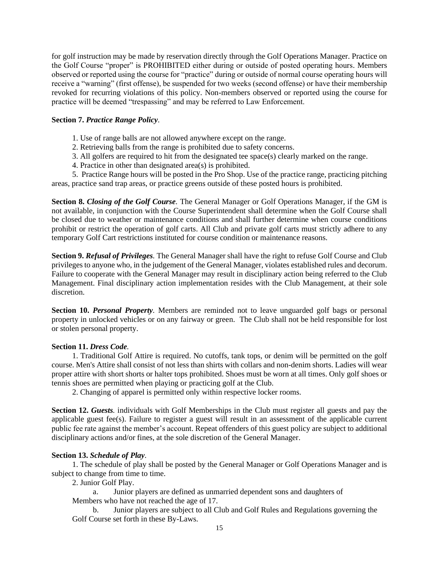for golf instruction may be made by reservation directly through the Golf Operations Manager. Practice on the Golf Course "proper" is PROHIBITED either during or outside of posted operating hours. Members observed or reported using the course for "practice" during or outside of normal course operating hours will receive a "warning" (first offense), be suspended for two weeks (second offense) or have their membership revoked for recurring violations of this policy. Non-members observed or reported using the course for practice will be deemed "trespassing" and may be referred to Law Enforcement.

#### **Section 7.** *Practice Range Policy.*

- 1. Use of range balls are not allowed anywhere except on the range.
- 2. Retrieving balls from the range is prohibited due to safety concerns.
- 3. All golfers are required to hit from the designated tee space(s) clearly marked on the range.
- 4. Practice in other than designated area(s) is prohibited.

5. Practice Range hours will be posted in the Pro Shop. Use of the practice range, practicing pitching areas, practice sand trap areas, or practice greens outside of these posted hours is prohibited.

**Section 8.** *Closing of the Golf Course.* The General Manager or Golf Operations Manager, if the GM is not available, in conjunction with the Course Superintendent shall determine when the Golf Course shall be closed due to weather or maintenance conditions and shall further determine when course conditions prohibit or restrict the operation of golf carts. All Club and private golf carts must strictly adhere to any temporary Golf Cart restrictions instituted for course condition or maintenance reasons.

**Section 9.** *Refusal of Privileges.* The General Manager shall have the right to refuse Golf Course and Club privileges to anyone who, in the judgement of the General Manager, violates established rules and decorum. Failure to cooperate with the General Manager may result in disciplinary action being referred to the Club Management. Final disciplinary action implementation resides with the Club Management, at their sole discretion.

**Section 10.** *Personal Property.* Members are reminded not to leave unguarded golf bags or personal property in unlocked vehicles or on any fairway or green. The Club shall not be held responsible for lost or stolen personal property.

#### **Section 11.** *Dress Code.*

1. Traditional Golf Attire is required. No cutoffs, tank tops, or denim will be permitted on the golf course. Men's Attire shall consist of not less than shirts with collars and non-denim shorts. Ladies will wear proper attire with short shorts or halter tops prohibited. Shoes must be worn at all times. Only golf shoes or tennis shoes are permitted when playing or practicing golf at the Club.

2. Changing of apparel is permitted only within respective locker rooms.

**Section 12.** *Guests.* individuals with Golf Memberships in the Club must register all guests and pay the applicable guest fee(s). Failure to register a guest will result in an assessment of the applicable current public fee rate against the member's account. Repeat offenders of this guest policy are subject to additional disciplinary actions and/or fines, at the sole discretion of the General Manager.

#### **Section 13.** *Schedule of Play.*

1. The schedule of play shall be posted by the General Manager or Golf Operations Manager and is subject to change from time to time.

2. Junior Golf Play.

a. Junior players are defined as unmarried dependent sons and daughters of Members who have not reached the age of 17.

b. Junior players are subject to all Club and Golf Rules and Regulations governing the Golf Course set forth in these By-Laws.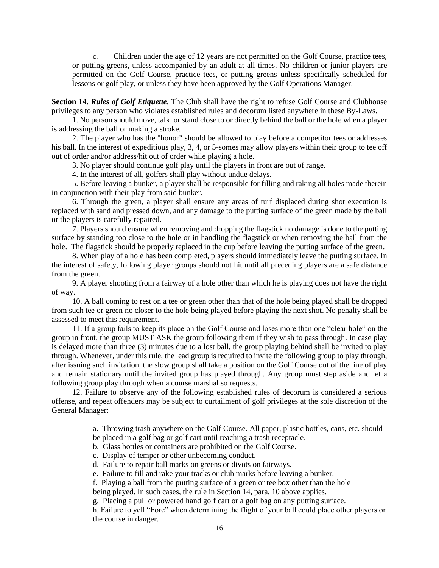c. Children under the age of 12 years are not permitted on the Golf Course, practice tees, or putting greens, unless accompanied by an adult at all times. No children or junior players are permitted on the Golf Course, practice tees, or putting greens unless specifically scheduled for lessons or golf play, or unless they have been approved by the Golf Operations Manager.

**Section 14.** *Rules of Golf Etiquette.* The Club shall have the right to refuse Golf Course and Clubhouse privileges to any person who violates established rules and decorum listed anywhere in these By-Laws.

1. No person should move, talk, or stand close to or directly behind the ball or the hole when a player is addressing the ball or making a stroke.

2. The player who has the "honor" should be allowed to play before a competitor tees or addresses his ball. In the interest of expeditious play, 3, 4, or 5-somes may allow players within their group to tee off out of order and/or address/hit out of order while playing a hole.

3. No player should continue golf play until the players in front are out of range.

4. In the interest of all, golfers shall play without undue delays.

5. Before leaving a bunker, a player shall be responsible for filling and raking all holes made therein in conjunction with their play from said bunker.

6. Through the green, a player shall ensure any areas of turf displaced during shot execution is replaced with sand and pressed down, and any damage to the putting surface of the green made by the ball or the players is carefully repaired.

7. Players should ensure when removing and dropping the flagstick no damage is done to the putting surface by standing too close to the hole or in handling the flagstick or when removing the ball from the hole. The flagstick should be properly replaced in the cup before leaving the putting surface of the green.

8. When play of a hole has been completed, players should immediately leave the putting surface. In the interest of safety, following player groups should not hit until all preceding players are a safe distance from the green.

9. A player shooting from a fairway of a hole other than which he is playing does not have the right of way.

10. A ball coming to rest on a tee or green other than that of the hole being played shall be dropped from such tee or green no closer to the hole being played before playing the next shot. No penalty shall be assessed to meet this requirement.

11. If a group fails to keep its place on the Golf Course and loses more than one "clear hole" on the group in front, the group MUST ASK the group following them if they wish to pass through. In case play is delayed more than three (3) minutes due to a lost ball, the group playing behind shall be invited to play through. Whenever, under this rule, the lead group is required to invite the following group to play through, after issuing such invitation, the slow group shall take a position on the Golf Course out of the line of play and remain stationary until the invited group has played through. Any group must step aside and let a following group play through when a course marshal so requests.

12. Failure to observe any of the following established rules of decorum is considered a serious offense, and repeat offenders may be subject to curtailment of golf privileges at the sole discretion of the General Manager:

a. Throwing trash anywhere on the Golf Course. All paper, plastic bottles, cans, etc. should

be placed in a golf bag or golf cart until reaching a trash receptacle.

- b. Glass bottles or containers are prohibited on the Golf Course.
- c. Display of temper or other unbecoming conduct.

d. Failure to repair ball marks on greens or divots on fairways.

e. Failure to fill and rake your tracks or club marks before leaving a bunker.

f. Playing a ball from the putting surface of a green or tee box other than the hole

being played. In such cases, the rule in Section 14, para. 10 above applies.

g. Placing a pull or powered hand golf cart or a golf bag on any putting surface.

h. Failure to yell "Fore" when determining the flight of your ball could place other players on the course in danger.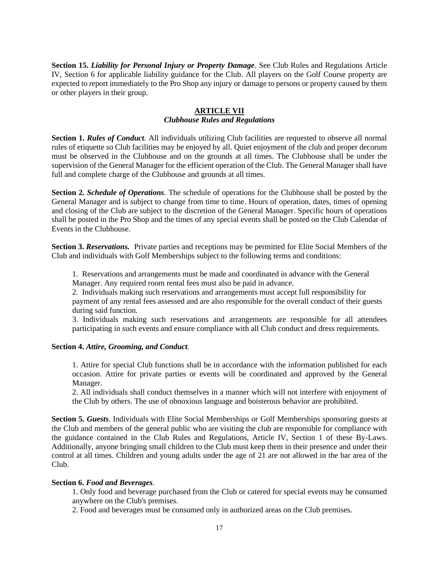**Section 15.** *Liability for Personal Injury or Property Damage*. See Club Rules and Regulations Article IV, Section 6 for applicable liability guidance for the Club. All players on the Golf Course property are expected to report immediately to the Pro Shop any injury or damage to persons or property caused by them or other players in their group.

#### **ARTICLE VII** *Clubhouse Rules and Regulations*

**Section 1.** *Rules of Conduct*. All individuals utilizing Club facilities are requested to observe all normal rules of etiquette so Club facilities may be enjoyed by all. Quiet enjoyment of the club and proper decorum must be observed in the Clubhouse and on the grounds at all times. The Clubhouse shall be under the supervision of the General Manager for the efficient operation of the Club. The General Manager shall have full and complete charge of the Clubhouse and grounds at all times.

**Section 2.** *Schedule of Operations.* The schedule of operations for the Clubhouse shall be posted by the General Manager and is subject to change from time to time. Hours of operation, dates, times of opening and closing of the Club are subject to the discretion of the General Manager. Specific hours of operations shall be posted in the Pro Shop and the times of any special events shall be posted on the Club Calendar of Events in the Clubhouse.

**Section 3.** *Reservations.* Private parties and receptions may be permitted for Elite Social Members of the Club and individuals with Golf Memberships subject to the following terms and conditions:

1. Reservations and arrangements must be made and coordinated in advance with the General Manager. Any required room rental fees must also be paid in advance.

2. Individuals making such reservations and arrangements must accept full responsibility for payment of any rental fees assessed and are also responsible for the overall conduct of their guests during said function.

3. Individuals making such reservations and arrangements are responsible for all attendees participating in such events and ensure compliance with all Club conduct and dress requirements.

#### **Section 4.** *Attire, Grooming, and Conduct.*

1. Attire for special Club functions shall be in accordance with the information published for each occasion. Attire for private parties or events will be coordinated and approved by the General Manager.

2. All individuals shall conduct themselves in a manner which will not interfere with enjoyment of the Club by others. The use of obnoxious language and boisterous behavior are prohibited.

**Section 5.** *Guests*. Individuals with Elite Social Memberships or Golf Memberships sponsoring guests at the Club and members of the general public who are visiting the club are responsible for compliance with the guidance contained in the Club Rules and Regulations, Article IV, Section 1 of these By-Laws. Additionally, anyone bringing small children to the Club must keep them in their presence and under their control at all times. Children and young adults under the age of 21 are not allowed in the bar area of the Club.

#### **Section 6.** *Food and Beverages.*

1. Only food and beverage purchased from the Club or catered for special events may be consumed anywhere on the Club's premises.

2. Food and beverages must be consumed only in authorized areas on the Club premises.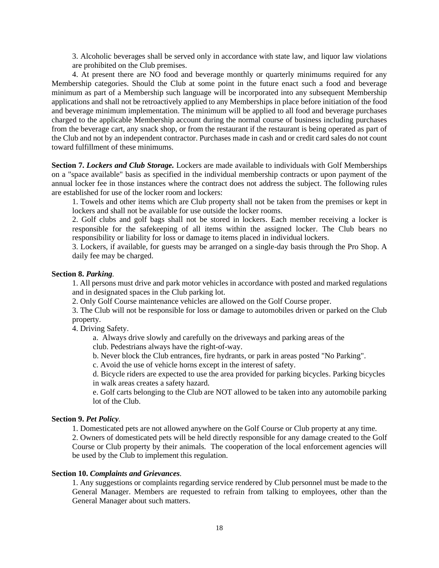3. Alcoholic beverages shall be served only in accordance with state law, and liquor law violations are prohibited on the Club premises.

4. At present there are NO food and beverage monthly or quarterly minimums required for any Membership categories. Should the Club at some point in the future enact such a food and beverage minimum as part of a Membership such language will be incorporated into any subsequent Membership applications and shall not be retroactively applied to any Memberships in place before initiation of the food and beverage minimum implementation. The minimum will be applied to all food and beverage purchases charged to the applicable Membership account during the normal course of business including purchases from the beverage cart, any snack shop, or from the restaurant if the restaurant is being operated as part of the Club and not by an independent contractor. Purchases made in cash and or credit card sales do not count toward fulfillment of these minimums.

**Section 7.** *Lockers and Club Storage.* Lockers are made available to individuals with Golf Memberships on a "space available" basis as specified in the individual membership contracts or upon payment of the annual locker fee in those instances where the contract does not address the subject. The following rules are established for use of the locker room and lockers:

1. Towels and other items which are Club property shall not be taken from the premises or kept in lockers and shall not be available for use outside the locker rooms.

2. Golf clubs and golf bags shall not be stored in lockers. Each member receiving a locker is responsible for the safekeeping of all items within the assigned locker. The Club bears no responsibility or liability for loss or damage to items placed in individual lockers.

3. Lockers, if available, for guests may be arranged on a single-day basis through the Pro Shop. A daily fee may be charged.

#### **Section 8.** *Parking.*

1. All persons must drive and park motor vehicles in accordance with posted and marked regulations and in designated spaces in the Club parking lot.

2. Only Golf Course maintenance vehicles are allowed on the Golf Course proper.

3. The Club will not be responsible for loss or damage to automobiles driven or parked on the Club property.

4. Driving Safety.

a. Always drive slowly and carefully on the driveways and parking areas of the club. Pedestrians always have the right-of-way.

b. Never block the Club entrances, fire hydrants, or park in areas posted "No Parking".

c. Avoid the use of vehicle horns except in the interest of safety.

d. Bicycle riders are expected to use the area provided for parking bicycles. Parking bicycles in walk areas creates a safety hazard.

e. Golf carts belonging to the Club are NOT allowed to be taken into any automobile parking lot of the Club.

#### **Section 9.** *Pet Policy.*

1. Domesticated pets are not allowed anywhere on the Golf Course or Club property at any time.

2. Owners of domesticated pets will be held directly responsible for any damage created to the Golf Course or Club property by their animals. The cooperation of the local enforcement agencies will be used by the Club to implement this regulation.

#### **Section 10.** *Complaints and Grievances.*

1. Any suggestions or complaints regarding service rendered by Club personnel must be made to the General Manager. Members are requested to refrain from talking to employees, other than the General Manager about such matters.